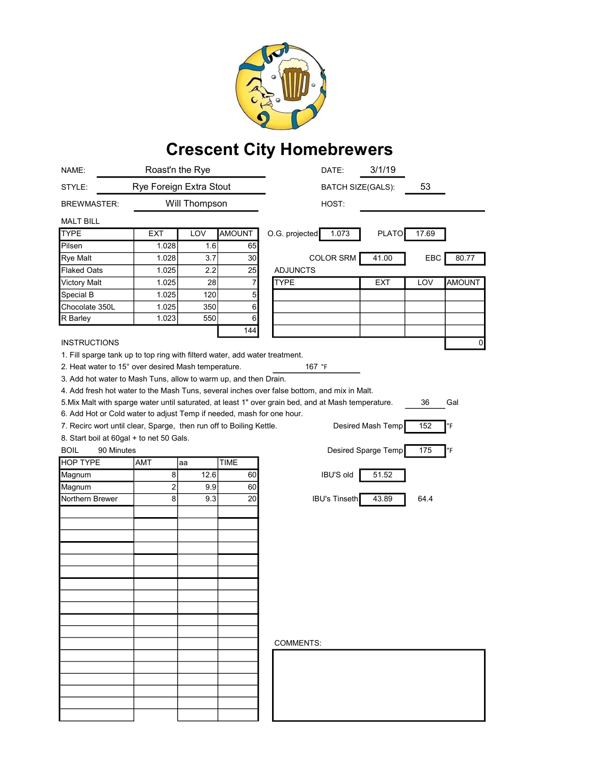

## Crescent City Homebrewers

| NAME:                                                                                                                                        | Roast'n the Rye         |               |               | 3/1/19<br>DATE:                                                                                                  |
|----------------------------------------------------------------------------------------------------------------------------------------------|-------------------------|---------------|---------------|------------------------------------------------------------------------------------------------------------------|
| STYLE:                                                                                                                                       | Rye Foreign Extra Stout |               |               | 53<br><b>BATCH SIZE(GALS):</b>                                                                                   |
| <b>BREWMASTER:</b>                                                                                                                           |                         | Will Thompson |               | HOST:                                                                                                            |
| <b>MALT BILL</b>                                                                                                                             |                         |               |               |                                                                                                                  |
| <b>TYPE</b>                                                                                                                                  | EXT                     | LOV           | <b>AMOUNT</b> | O.G. projected<br>1.073<br><b>PLATO</b><br>17.69                                                                 |
| Pilsen                                                                                                                                       | 1.028                   | 1.6           | 65            |                                                                                                                  |
| Rye Malt                                                                                                                                     | 1.028                   | 3.7           | 30            | <b>COLOR SRM</b><br>41.00<br>EBC<br>80.77                                                                        |
| <b>Flaked Oats</b>                                                                                                                           | 1.025                   | 2.2           | 25            | <b>ADJUNCTS</b>                                                                                                  |
| <b>Victory Malt</b>                                                                                                                          | 1.025                   | 28            | 7             | <b>TYPE</b><br><b>EXT</b><br><b>AMOUNT</b><br>LOV                                                                |
| Special B                                                                                                                                    | 1.025                   | 120           | 5             |                                                                                                                  |
| Chocolate 350L                                                                                                                               | 1.025                   | 350           | $6 \,$        |                                                                                                                  |
| R Barley                                                                                                                                     | 1.023                   | 550           | 6             |                                                                                                                  |
|                                                                                                                                              |                         |               | 144           |                                                                                                                  |
| <b>INSTRUCTIONS</b>                                                                                                                          |                         |               |               | 0                                                                                                                |
|                                                                                                                                              |                         |               |               |                                                                                                                  |
| 1. Fill sparge tank up to top ring with filterd water, add water treatment.<br>2. Heat water to 15° over desired Mash temperature.<br>167 °F |                         |               |               |                                                                                                                  |
| 3. Add hot water to Mash Tuns, allow to warm up, and then Drain.                                                                             |                         |               |               |                                                                                                                  |
|                                                                                                                                              |                         |               |               | 4. Add fresh hot water to the Mash Tuns, several inches over false bottom, and mix in Malt.                      |
|                                                                                                                                              |                         |               |               | 5. Mix Malt with sparge water until saturated, at least 1" over grain bed, and at Mash temperature.<br>Gal<br>36 |
| 6. Add Hot or Cold water to adjust Temp if needed, mash for one hour.                                                                        |                         |               |               |                                                                                                                  |
|                                                                                                                                              |                         |               |               |                                                                                                                  |
| 7. Recirc wort until clear, Sparge, then run off to Boiling Kettle.                                                                          |                         |               |               | Desired Mash Temp<br>152<br>°F                                                                                   |
| 8. Start boil at 60gal + to net 50 Gals.                                                                                                     |                         |               |               |                                                                                                                  |
| <b>BOIL</b><br>90 Minutes                                                                                                                    |                         |               |               | 175<br>Desired Sparge Temp<br>°F                                                                                 |
| <b>HOP TYPE</b>                                                                                                                              | <b>AMT</b>              | aa            | <b>TIME</b>   |                                                                                                                  |
| Magnum                                                                                                                                       | $\overline{8}$          | 12.6          | 60            | <b>IBU'S old</b><br>51.52                                                                                        |
| Magnum                                                                                                                                       | 2                       | 9.9           | 60            |                                                                                                                  |
| Northern Brewer                                                                                                                              | 8                       | 9.3           | 20            | <b>IBU's Tinseth</b><br>43.89<br>64.4                                                                            |
|                                                                                                                                              |                         |               |               |                                                                                                                  |
|                                                                                                                                              |                         |               |               |                                                                                                                  |
|                                                                                                                                              |                         |               |               |                                                                                                                  |
|                                                                                                                                              |                         |               |               |                                                                                                                  |
|                                                                                                                                              |                         |               |               |                                                                                                                  |
|                                                                                                                                              |                         |               |               |                                                                                                                  |
|                                                                                                                                              |                         |               |               |                                                                                                                  |
|                                                                                                                                              |                         |               |               |                                                                                                                  |
|                                                                                                                                              |                         |               |               |                                                                                                                  |
|                                                                                                                                              |                         |               |               |                                                                                                                  |
|                                                                                                                                              |                         |               |               |                                                                                                                  |
|                                                                                                                                              |                         |               |               | COMMENTS:                                                                                                        |
|                                                                                                                                              |                         |               |               |                                                                                                                  |
|                                                                                                                                              |                         |               |               |                                                                                                                  |
|                                                                                                                                              |                         |               |               |                                                                                                                  |
|                                                                                                                                              |                         |               |               |                                                                                                                  |
|                                                                                                                                              |                         |               |               |                                                                                                                  |
|                                                                                                                                              |                         |               |               |                                                                                                                  |
|                                                                                                                                              |                         |               |               |                                                                                                                  |